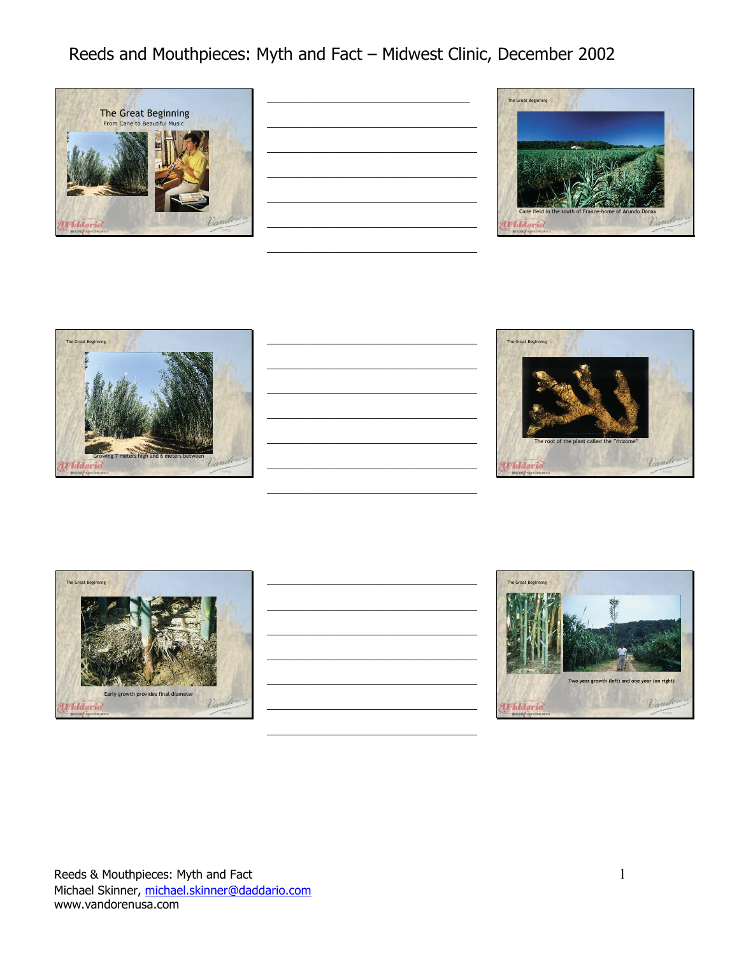

|                                                   |  | <u> 1989 - Andrea Stadt Britain, fransk politiker og den som forskellige og det som forskellige og det som forskellige og det som forskellige og det som forskellige og det som forskellige og det som forskellige og det som fo</u> |                          |
|---------------------------------------------------|--|--------------------------------------------------------------------------------------------------------------------------------------------------------------------------------------------------------------------------------------|--------------------------|
|                                                   |  |                                                                                                                                                                                                                                      |                          |
|                                                   |  |                                                                                                                                                                                                                                      |                          |
| <u> 1989 - Johann John Stone, mensk politik (</u> |  |                                                                                                                                                                                                                                      | $\overline{\phantom{a}}$ |
|                                                   |  |                                                                                                                                                                                                                                      |                          |
|                                                   |  |                                                                                                                                                                                                                                      |                          |
|                                                   |  |                                                                                                                                                                                                                                      |                          |
|                                                   |  |                                                                                                                                                                                                                                      |                          |

 $\mathcal{L}_\text{max}$ 









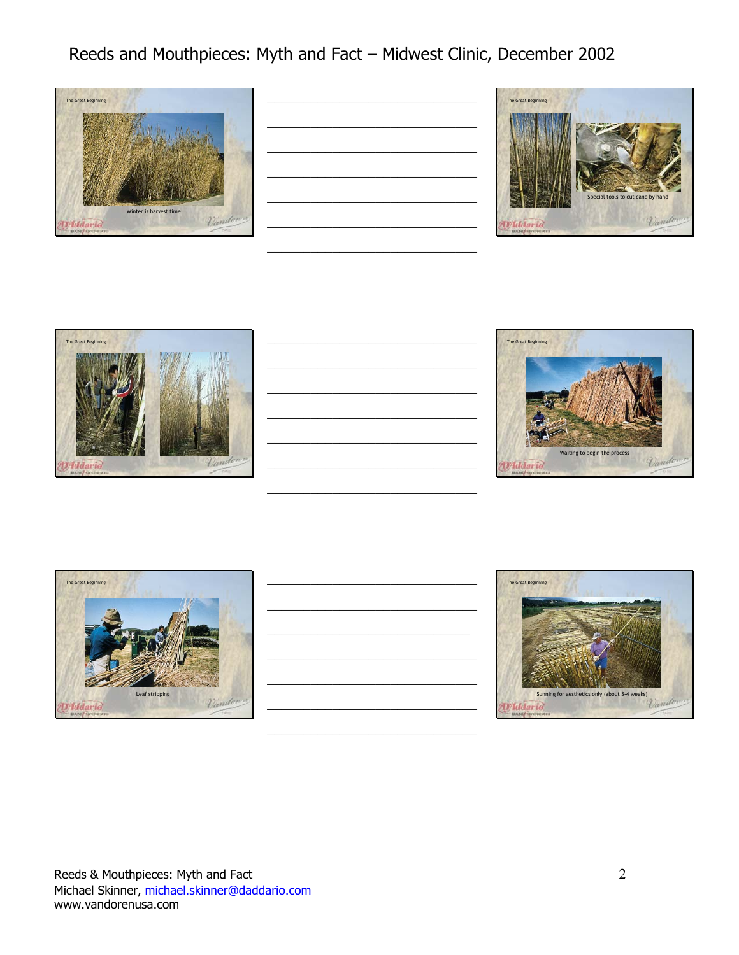

|  |  | $\overline{\phantom{a}}$ |
|--|--|--------------------------|
|  |  |                          |
|  |  |                          |





| <u> Louis Communication de la communication de la communication de la communication de la communication de la com</u> |  |  |
|-----------------------------------------------------------------------------------------------------------------------|--|--|
|                                                                                                                       |  |  |
|                                                                                                                       |  |  |
|                                                                                                                       |  |  |
|                                                                                                                       |  |  |
|                                                                                                                       |  |  |
|                                                                                                                       |  |  |
|                                                                                                                       |  |  |
|                                                                                                                       |  |  |
|                                                                                                                       |  |  |
|                                                                                                                       |  |  |
|                                                                                                                       |  |  |
|                                                                                                                       |  |  |





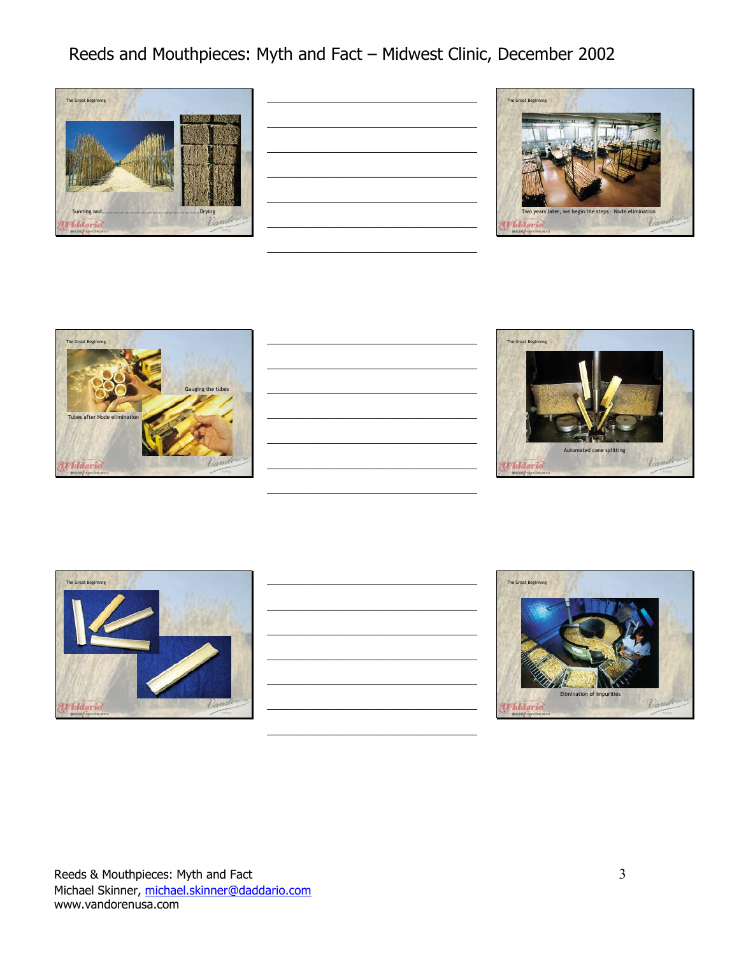

| <u> 2002 - Jan James James James James James James James James James James James James James James James James J</u> |  |                                  |
|----------------------------------------------------------------------------------------------------------------------|--|----------------------------------|
|                                                                                                                      |  |                                  |
|                                                                                                                      |  |                                  |
| <u> 1989 - Johann John Stone, market fan de ferskeinde fan de ferskeinde fan de ferskeinde fan de ferskeinde fan</u> |  |                                  |
| <u> 2002 - Jan James James James James James James James James James James James James James James James James J</u> |  |                                  |
|                                                                                                                      |  |                                  |
|                                                                                                                      |  | ____<br>$\overline{\phantom{a}}$ |
|                                                                                                                      |  |                                  |









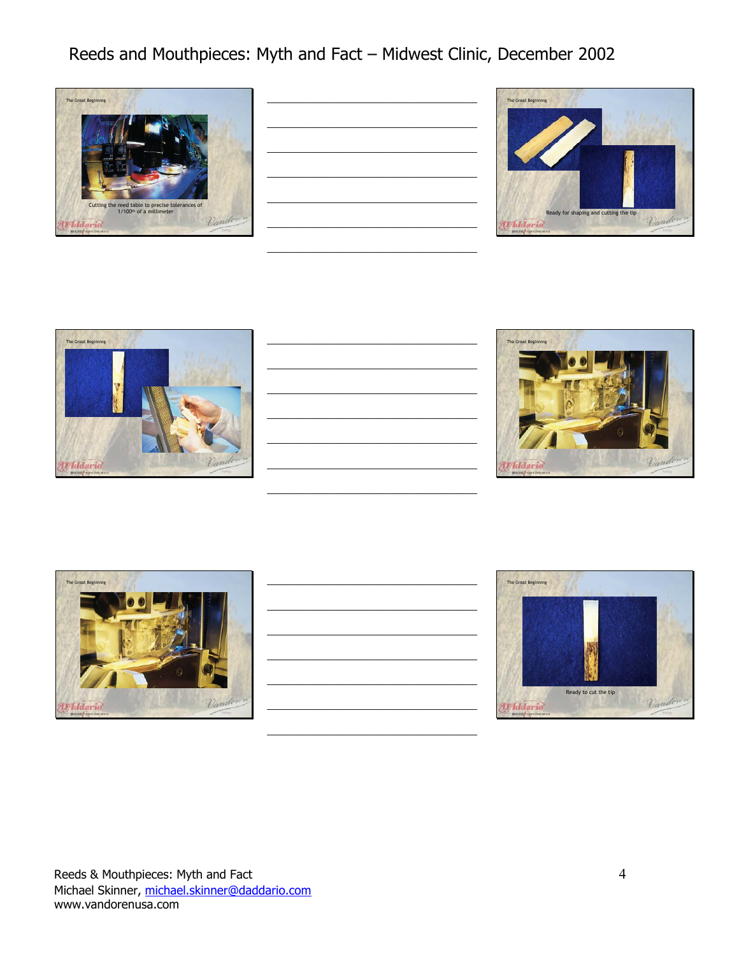

| <u> 2002 - Jan James James James James James James James James James James James James James James James James J</u> |  |  |
|----------------------------------------------------------------------------------------------------------------------|--|--|
| the control of the control of the control of the                                                                     |  |  |
| the control of the control of the control of the                                                                     |  |  |
|                                                                                                                      |  |  |
|                                                                                                                      |  |  |
|                                                                                                                      |  |  |
|                                                                                                                      |  |  |

 $\mathcal{L}_\text{max}$ 









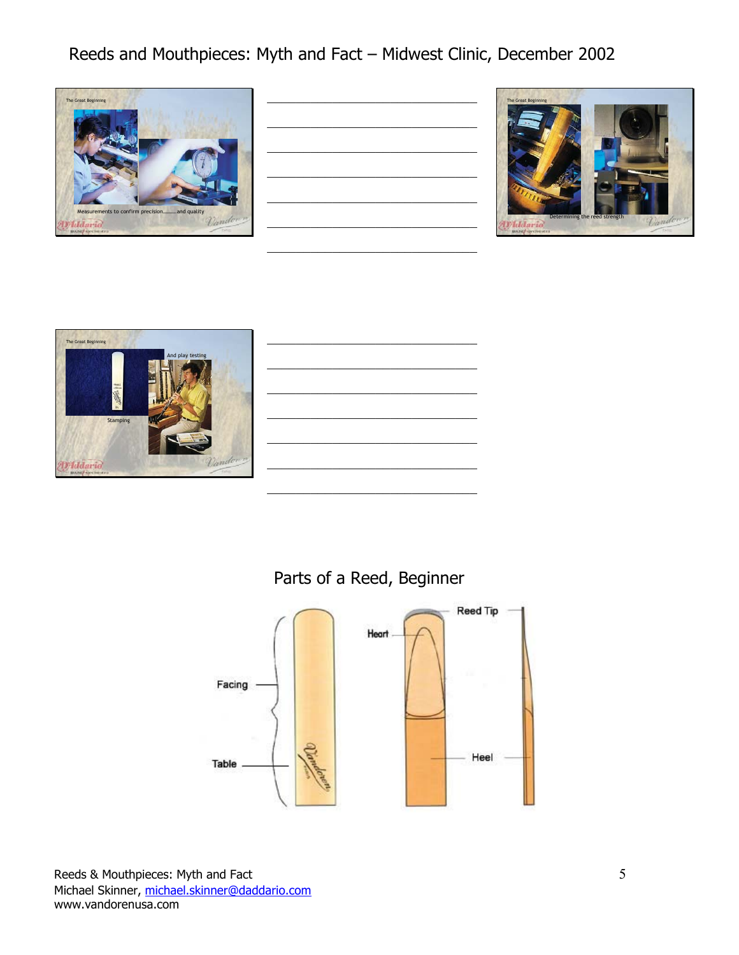

| <u> 1980 - Johann John Stone, markin f</u>                                                                            |  |  |
|-----------------------------------------------------------------------------------------------------------------------|--|--|
|                                                                                                                       |  |  |
| <u> 2002 - Johann John Stone, mars et al. 1980 - John Stone, mars et al. 1980 - John Stone Barnett, mars et al. 1</u> |  |  |
| <u> 2002 - Jan James James Jan James James James James James James James James James James James James James Jam</u>  |  |  |
|                                                                                                                       |  |  |
|                                                                                                                       |  |  |
|                                                                                                                       |  |  |
|                                                                                                                       |  |  |
|                                                                                                                       |  |  |
|                                                                                                                       |  |  |





| sting   |  |
|---------|--|
|         |  |
|         |  |
|         |  |
| Vandown |  |
|         |  |

#### Parts of a Reed, Beginner

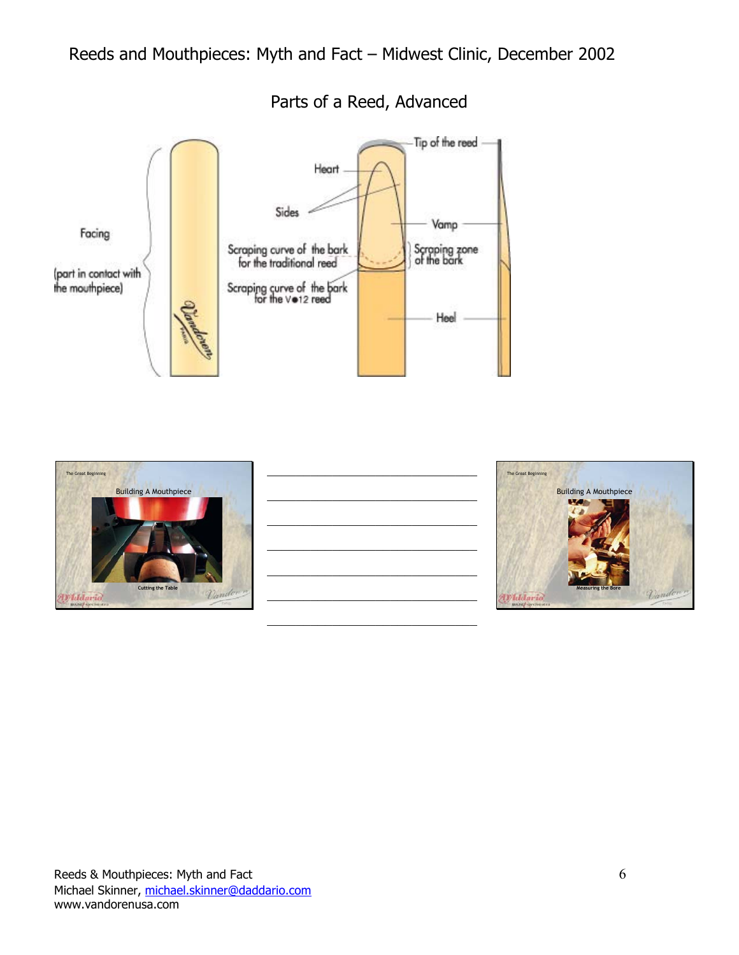

#### Parts of a Reed, Advanced



|                                                             |  | <u> 1989 - Johann John Stone, market fan de ferskeinde fan de ferskeinde fan de ferskeinde fan de ferskeinde fan</u>                                                                                                                 |  |
|-------------------------------------------------------------|--|--------------------------------------------------------------------------------------------------------------------------------------------------------------------------------------------------------------------------------------|--|
|                                                             |  |                                                                                                                                                                                                                                      |  |
|                                                             |  | <u> 1989 - Johann Johann Johann Johann Johann Johann Johann Johann Johann Johann Johann Johann Johann Johann Johann Johann Johann Johann Johann Johann Johann Johann Johann Johann Johann Johann Johann Johann Johann Johann Joh</u> |  |
|                                                             |  | <u> 1989 - Johann John Stein, market fan de Amerikaanske kommunister (* 1950)</u>                                                                                                                                                    |  |
|                                                             |  |                                                                                                                                                                                                                                      |  |
|                                                             |  |                                                                                                                                                                                                                                      |  |
|                                                             |  | <u> 1989 - Johann John Stein, market fan de Amerikaanske kommunister (* 1950)</u>                                                                                                                                                    |  |
| and the state of the state of the state of the state of the |  | <u> La componenta de la componenta de la componenta de la componenta de la componenta de la componenta de la compo</u>                                                                                                               |  |
|                                                             |  |                                                                                                                                                                                                                                      |  |